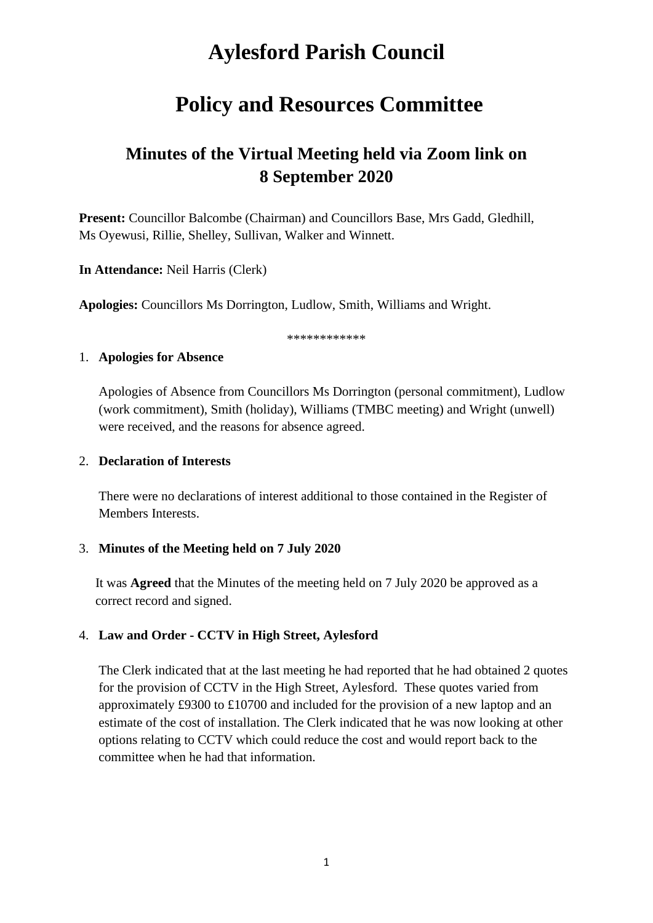# **Aylesford Parish Council**

## **Policy and Resources Committee**

## **Minutes of the Virtual Meeting held via Zoom link on 8 September 2020**

**Present:** Councillor Balcombe (Chairman) and Councillors Base, Mrs Gadd, Gledhill, Ms Oyewusi, Rillie, Shelley, Sullivan, Walker and Winnett.

**In Attendance:** Neil Harris (Clerk)

**Apologies:** Councillors Ms Dorrington, Ludlow, Smith, Williams and Wright.

\*\*\*\*\*\*\*\*\*\*\*\*

#### 1. **Apologies for Absence**

Apologies of Absence from Councillors Ms Dorrington (personal commitment), Ludlow (work commitment), Smith (holiday), Williams (TMBC meeting) and Wright (unwell) were received, and the reasons for absence agreed.

#### 2. **Declaration of Interests**

There were no declarations of interest additional to those contained in the Register of Members Interests.

#### 3. **Minutes of the Meeting held on 7 July 2020**

It was **Agreed** that the Minutes of the meeting held on 7 July 2020 be approved as a correct record and signed.

## 4. **Law and Order - CCTV in High Street, Aylesford**

The Clerk indicated that at the last meeting he had reported that he had obtained 2 quotes for the provision of CCTV in the High Street, Aylesford. These quotes varied from approximately £9300 to £10700 and included for the provision of a new laptop and an estimate of the cost of installation. The Clerk indicated that he was now looking at other options relating to CCTV which could reduce the cost and would report back to the committee when he had that information.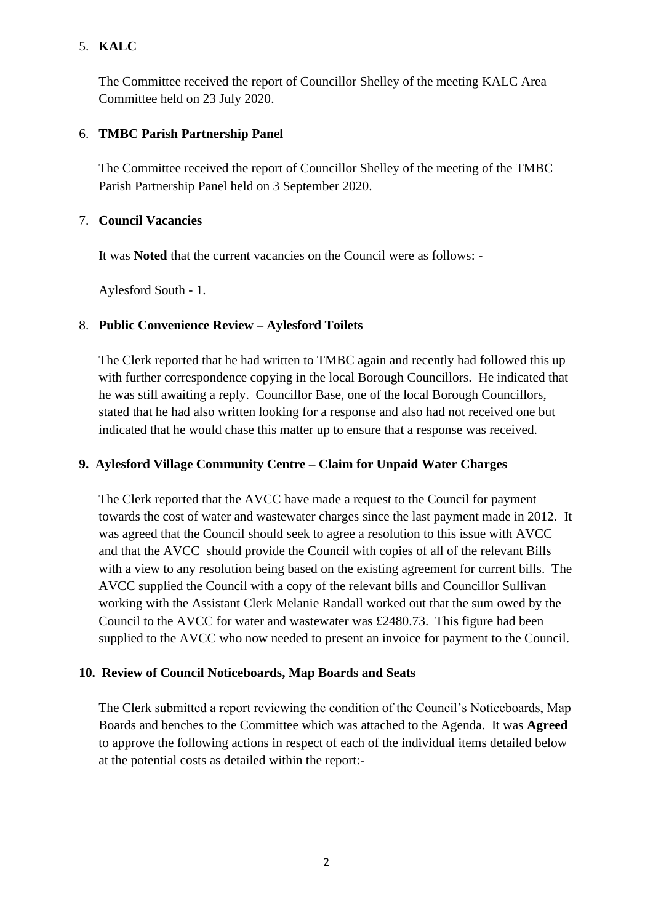## 5. **KALC**

The Committee received the report of Councillor Shelley of the meeting KALC Area Committee held on 23 July 2020.

## 6. **TMBC Parish Partnership Panel**

The Committee received the report of Councillor Shelley of the meeting of the TMBC Parish Partnership Panel held on 3 September 2020.

## 7. **Council Vacancies**

It was **Noted** that the current vacancies on the Council were as follows: -

Aylesford South - 1.

## 8. **Public Convenience Review – Aylesford Toilets**

The Clerk reported that he had written to TMBC again and recently had followed this up with further correspondence copying in the local Borough Councillors. He indicated that he was still awaiting a reply. Councillor Base, one of the local Borough Councillors, stated that he had also written looking for a response and also had not received one but indicated that he would chase this matter up to ensure that a response was received.

## **9. Aylesford Village Community Centre – Claim for Unpaid Water Charges**

The Clerk reported that the AVCC have made a request to the Council for payment towards the cost of water and wastewater charges since the last payment made in 2012. It was agreed that the Council should seek to agree a resolution to this issue with AVCC and that the AVCC should provide the Council with copies of all of the relevant Bills with a view to any resolution being based on the existing agreement for current bills. The AVCC supplied the Council with a copy of the relevant bills and Councillor Sullivan working with the Assistant Clerk Melanie Randall worked out that the sum owed by the Council to the AVCC for water and wastewater was £2480.73. This figure had been supplied to the AVCC who now needed to present an invoice for payment to the Council.

## **10. Review of Council Noticeboards, Map Boards and Seats**

The Clerk submitted a report reviewing the condition of the Council's Noticeboards, Map Boards and benches to the Committee which was attached to the Agenda. It was **Agreed** to approve the following actions in respect of each of the individual items detailed below at the potential costs as detailed within the report:-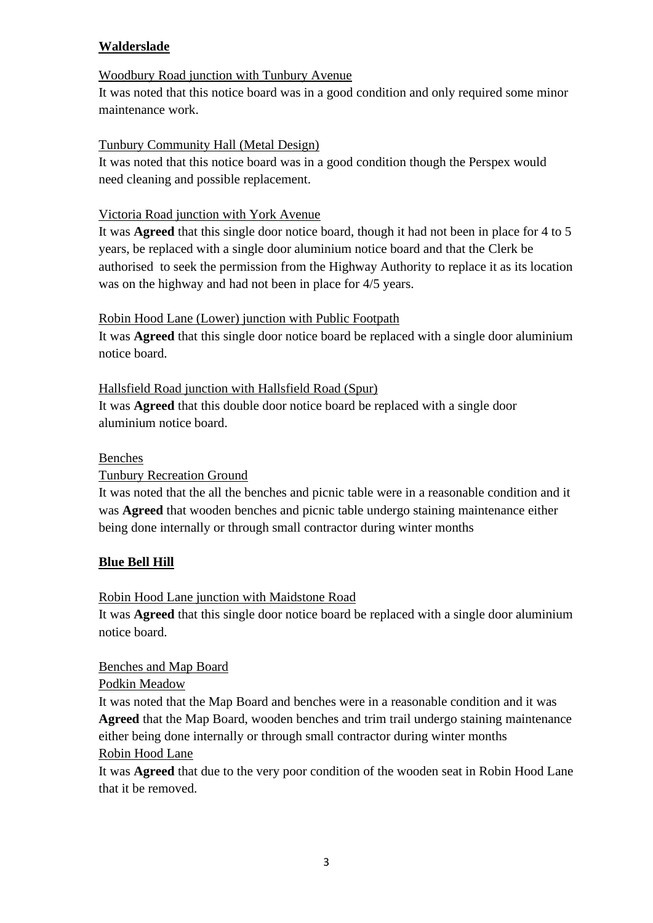## **Walderslade**

## Woodbury Road junction with Tunbury Avenue

It was noted that this notice board was in a good condition and only required some minor maintenance work.

## Tunbury Community Hall (Metal Design)

It was noted that this notice board was in a good condition though the Perspex would need cleaning and possible replacement.

## Victoria Road junction with York Avenue

It was **Agreed** that this single door notice board, though it had not been in place for 4 to 5 years, be replaced with a single door aluminium notice board and that the Clerk be authorised to seek the permission from the Highway Authority to replace it as its location was on the highway and had not been in place for 4/5 years.

## Robin Hood Lane (Lower) junction with Public Footpath

It was **Agreed** that this single door notice board be replaced with a single door aluminium notice board.

## Hallsfield Road junction with Hallsfield Road (Spur)

It was **Agreed** that this double door notice board be replaced with a single door aluminium notice board.

#### Benches

## Tunbury Recreation Ground

It was noted that the all the benches and picnic table were in a reasonable condition and it was **Agreed** that wooden benches and picnic table undergo staining maintenance either being done internally or through small contractor during winter months

## **Blue Bell Hill**

## Robin Hood Lane junction with Maidstone Road

It was **Agreed** that this single door notice board be replaced with a single door aluminium notice board.

## Benches and Map Board

Podkin Meadow

It was noted that the Map Board and benches were in a reasonable condition and it was **Agreed** that the Map Board, wooden benches and trim trail undergo staining maintenance either being done internally or through small contractor during winter months Robin Hood Lane

It was **Agreed** that due to the very poor condition of the wooden seat in Robin Hood Lane that it be removed.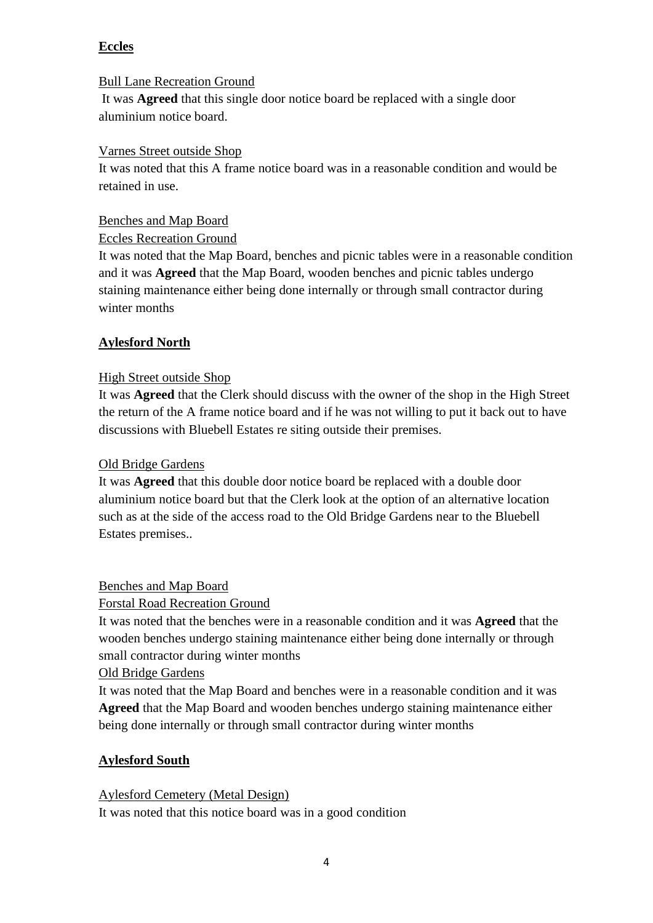## **Eccles**

## Bull Lane Recreation Ground

It was **Agreed** that this single door notice board be replaced with a single door aluminium notice board.

#### Varnes Street outside Shop

It was noted that this A frame notice board was in a reasonable condition and would be retained in use.

#### Benches and Map Board

## Eccles Recreation Ground

It was noted that the Map Board, benches and picnic tables were in a reasonable condition and it was **Agreed** that the Map Board, wooden benches and picnic tables undergo staining maintenance either being done internally or through small contractor during winter months

## **Aylesford North**

## High Street outside Shop

It was **Agreed** that the Clerk should discuss with the owner of the shop in the High Street the return of the A frame notice board and if he was not willing to put it back out to have discussions with Bluebell Estates re siting outside their premises.

#### Old Bridge Gardens

It was **Agreed** that this double door notice board be replaced with a double door aluminium notice board but that the Clerk look at the option of an alternative location such as at the side of the access road to the Old Bridge Gardens near to the Bluebell Estates premises..

## Benches and Map Board

## Forstal Road Recreation Ground

It was noted that the benches were in a reasonable condition and it was **Agreed** that the wooden benches undergo staining maintenance either being done internally or through small contractor during winter months

#### Old Bridge Gardens

It was noted that the Map Board and benches were in a reasonable condition and it was **Agreed** that the Map Board and wooden benches undergo staining maintenance either being done internally or through small contractor during winter months

## **Aylesford South**

#### Aylesford Cemetery (Metal Design)

It was noted that this notice board was in a good condition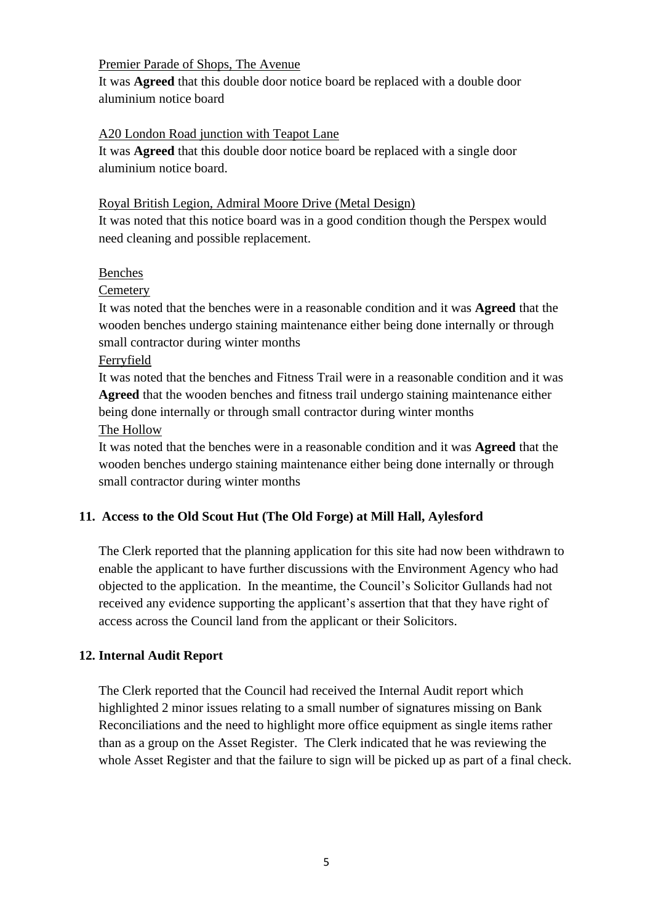#### Premier Parade of Shops, The Avenue

It was **Agreed** that this double door notice board be replaced with a double door aluminium notice board

## A20 London Road junction with Teapot Lane

It was **Agreed** that this double door notice board be replaced with a single door aluminium notice board.

## Royal British Legion, Admiral Moore Drive (Metal Design)

It was noted that this notice board was in a good condition though the Perspex would need cleaning and possible replacement.

## Benches

**Cemetery** 

It was noted that the benches were in a reasonable condition and it was **Agreed** that the wooden benches undergo staining maintenance either being done internally or through small contractor during winter months

Ferryfield

It was noted that the benches and Fitness Trail were in a reasonable condition and it was **Agreed** that the wooden benches and fitness trail undergo staining maintenance either being done internally or through small contractor during winter months The Hollow

It was noted that the benches were in a reasonable condition and it was **Agreed** that the wooden benches undergo staining maintenance either being done internally or through small contractor during winter months

## **11. Access to the Old Scout Hut (The Old Forge) at Mill Hall, Aylesford**

The Clerk reported that the planning application for this site had now been withdrawn to enable the applicant to have further discussions with the Environment Agency who had objected to the application. In the meantime, the Council's Solicitor Gullands had not received any evidence supporting the applicant's assertion that that they have right of access across the Council land from the applicant or their Solicitors.

## **12. Internal Audit Report**

The Clerk reported that the Council had received the Internal Audit report which highlighted 2 minor issues relating to a small number of signatures missing on Bank Reconciliations and the need to highlight more office equipment as single items rather than as a group on the Asset Register. The Clerk indicated that he was reviewing the whole Asset Register and that the failure to sign will be picked up as part of a final check.